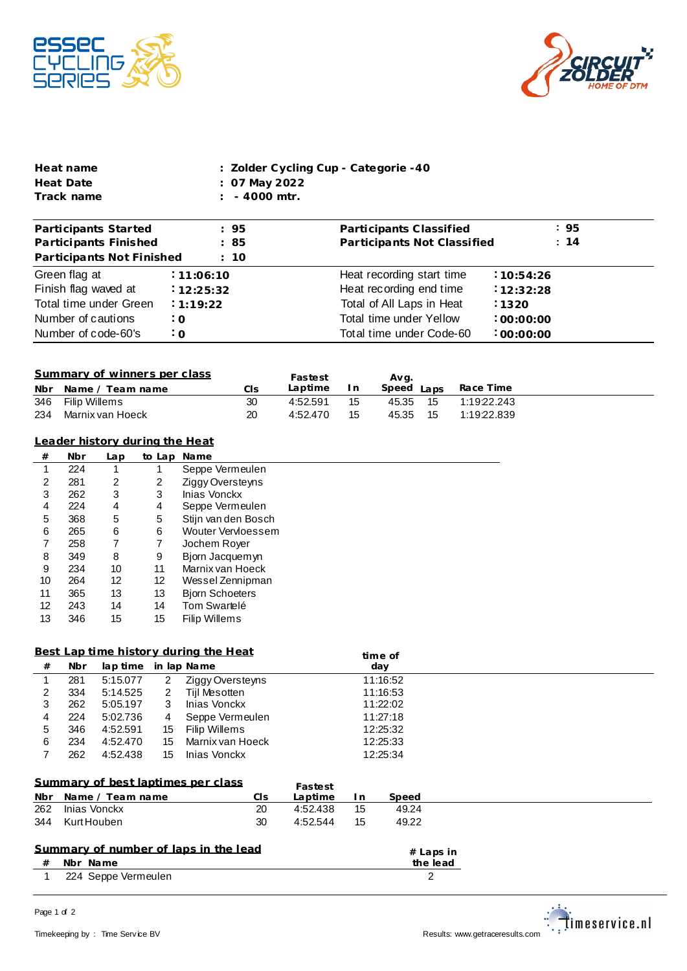



| Heat name  | : Zolder Cycling Cup - Categorie -40 |
|------------|--------------------------------------|
| Heat Date  | : 07 May 2022                        |
| Track name | $: 4000$ mtr.                        |

| Participants Started      | : 95       | Participants Classified     | : 95      |
|---------------------------|------------|-----------------------------|-----------|
| Participants Finished     | : 85       | Participants Not Classified | : 14      |
| Participants Not Finished | : 10       |                             |           |
| Green flag at             | : 11:06:10 | Heat recording start time   | :10:54:26 |
| Finish flag waved at      | 12:25:32   | Heat recording end time     | 12:32:28  |
| Total time under Green    | : 1:19:22  | Total of All Laps in Heat   | 1320      |
| Number of cautions        | $\cdot$ O  | Total time under Yellow     | .00:00:00 |
| Number of code-60's       | $\cdot$ O  | Total time under Code-60    | :00:00:00 |

| Summary of winners per class |     | Fastest  |     | Avg.       |             |
|------------------------------|-----|----------|-----|------------|-------------|
| Nbr Name / Team name         | Cls | Laptime  | I n | Speed Laps | Race Time   |
| 346 Filip Willems            | 30  | 4:52.591 | 15  | 45.35 15   | 1:19:22.243 |
| 234 Marnix van Hoeck         | 20  | 4:52.470 | 15  | 45.35 15   | 1:19:22.839 |

| Leader history during the Heat |  |  |
|--------------------------------|--|--|
|                                |  |  |
|                                |  |  |

| #  | <b>Nbr</b> | Lap            | to Lap | <b>Name</b>            |
|----|------------|----------------|--------|------------------------|
| 1  | 224        |                | 1      | Seppe Vermeulen        |
| 2  | 281        | $\overline{2}$ | 2      | Ziggy Oversteyns       |
| 3  | 262        | 3              | 3      | Inias Vonckx           |
| 4  | 224        | 4              | 4      | Seppe Vermeulen        |
| 5  | 368        | 5              | 5      | Stiin van den Bosch    |
| 6  | 265        | 6              | 6      | Wouter Vervloessem     |
| 7  | 258        | 7              | 7      | Jochem Rover           |
| 8  | 349        | 8              | 9      | Bjorn Jacquemyn        |
| 9  | 234        | 10             | 11     | Marnix van Hoeck       |
| 10 | 264        | 12             | 12     | Wessel Zennipman       |
| 11 | 365        | 13             | 13     | <b>Biorn Schoeters</b> |
| 12 | 243        | 14             | 14     | Tom Swartelé           |
| 13 | 346        | 15             | 15     | <b>Filip Willems</b>   |

## **Best Lap time history during the Heat**

|    |     |                      |    | <u>Best Lab time history during the Heat</u> | time of  |  |
|----|-----|----------------------|----|----------------------------------------------|----------|--|
| #  | Nbr | lap time in lap Name |    |                                              | day      |  |
|    | 281 | 5:15.077             | 2  | Ziggy Oversteyns                             | 11:16:52 |  |
|    | 334 | 5:14.525             | 2  | Tijl Mesotten                                | 11:16:53 |  |
| 3  | 262 | 5:05.197             | 3  | Inias Vonckx                                 | 11:22:02 |  |
| 4  | 224 | 5:02.736             | 4  | Seppe Vermeulen                              | 11:27:18 |  |
| b. | 346 | 4:52.591             | 15 | Filip Willems                                | 12:25:32 |  |
| 6  | 234 | 4:52.470             | 15 | Marnix van Hoeck                             | 12:25:33 |  |
|    | 262 | 4:52.438             | 15 | Inias Vonckx                                 | 12:25:34 |  |
|    |     |                      |    |                                              |          |  |

| Summary of best laptimes per class |     | Fastest  |    |       |  |
|------------------------------------|-----|----------|----|-------|--|
| Nbr Name / Team name               | CIs | Lantime  |    | Speed |  |
| 262 Inias Vonckx                   | 20  | 4:52.438 | 15 | 49.24 |  |
| 344 Kurt Houben                    | 30  | 4:52.544 | 15 | 49.22 |  |

## **Summary of number of laps in the lead**

| Nbr<br>the<br>Name<br>$^{+}$ | lead<br>. |  |
|------------------------------|-----------|--|
|------------------------------|-----------|--|

1 224 Seppe Vermeulen 2



**# Laps in**